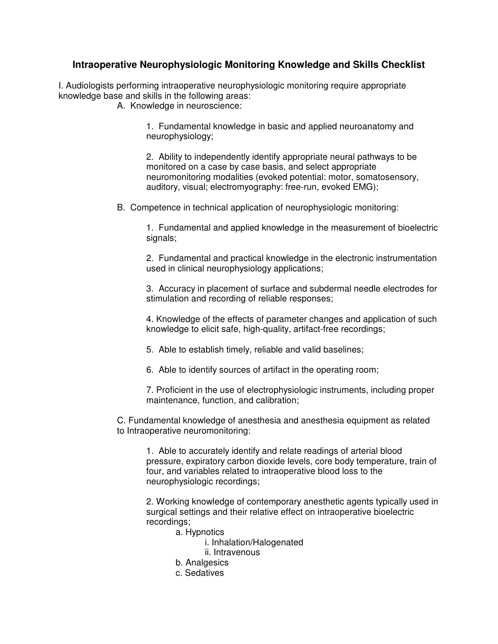## **Intraoperative Neurophysiologic Monitoring Knowledge and Skills Checklist**

I. Audiologists performing intraoperative neurophysiologic monitoring require appropriate knowledge base and skills in the following areas:

A. Knowledge in neuroscience:

 1. Fundamental knowledge in basic and applied neuroanatomy and neurophysiology;

2. Ability to independently identify appropriate neural pathways to be monitored on a case by case basis, and select appropriate neuromonitoring modalities (evoked potential: motor, somatosensory, auditory, visual; electromyography: free-run, evoked EMG);

B. Competence in technical application of neurophysiologic monitoring:

 1. Fundamental and applied knowledge in the measurement of bioelectric signals;

 2. Fundamental and practical knowledge in the electronic instrumentation used in clinical neurophysiology applications;

3. Accuracy in placement of surface and subdermal needle electrodes for stimulation and recording of reliable responses;

4. Knowledge of the effects of parameter changes and application of such knowledge to elicit safe, high-quality, artifact-free recordings;

5. Able to establish timely, reliable and valid baselines;

6. Able to identify sources of artifact in the operating room;

7. Proficient in the use of electrophysiologic instruments, including proper maintenance, function, and calibration;

C. Fundamental knowledge of anesthesia and anesthesia equipment as related to Intraoperative neuromonitoring:

1. Able to accurately identify and relate readings of arterial blood pressure, expiratory carbon dioxide levels, core body temperature, train of four, and variables related to intraoperative blood loss to the neurophysiologic recordings;

 2. Working knowledge of contemporary anesthetic agents typically used in surgical settings and their relative effect on intraoperative bioelectric recordings;

- a. Hypnotics
	- i. Inhalation/Halogenated
	- ii. Intravenous
- b. Analgesics
- c. Sedatives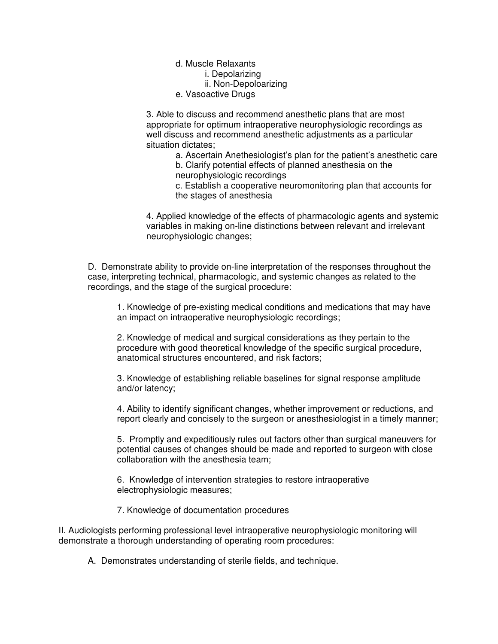d. Muscle Relaxants i. Depolarizing ii. Non-Depoloarizing e. Vasoactive Drugs

 3. Able to discuss and recommend anesthetic plans that are most appropriate for optimum intraoperative neurophysiologic recordings as well discuss and recommend anesthetic adjustments as a particular situation dictates;

> a. Ascertain Anethesiologist's plan for the patient's anesthetic care b. Clarify potential effects of planned anesthesia on the neurophysiologic recordings

 c. Establish a cooperative neuromonitoring plan that accounts for the stages of anesthesia

 4. Applied knowledge of the effects of pharmacologic agents and systemic variables in making on-line distinctions between relevant and irrelevant neurophysiologic changes;

D. Demonstrate ability to provide on-line interpretation of the responses throughout the case, interpreting technical, pharmacologic, and systemic changes as related to the recordings, and the stage of the surgical procedure:

1. Knowledge of pre-existing medical conditions and medications that may have an impact on intraoperative neurophysiologic recordings;

2. Knowledge of medical and surgical considerations as they pertain to the procedure with good theoretical knowledge of the specific surgical procedure, anatomical structures encountered, and risk factors;

3. Knowledge of establishing reliable baselines for signal response amplitude and/or latency;

4. Ability to identify significant changes, whether improvement or reductions, and report clearly and concisely to the surgeon or anesthesiologist in a timely manner;

5. Promptly and expeditiously rules out factors other than surgical maneuvers for potential causes of changes should be made and reported to surgeon with close collaboration with the anesthesia team;

6. Knowledge of intervention strategies to restore intraoperative electrophysiologic measures;

7. Knowledge of documentation procedures

II. Audiologists performing professional level intraoperative neurophysiologic monitoring will demonstrate a thorough understanding of operating room procedures:

A. Demonstrates understanding of sterile fields, and technique.